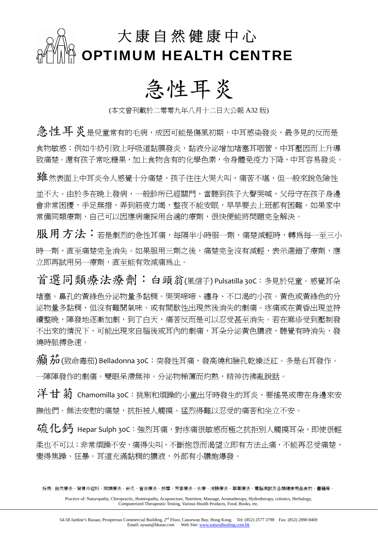

## 急性耳炎

(本文曾刊載於二零零九年八月十二日大公報 A32 版)

**急性耳炎**是兒童常有的毛病,成因可能是傷風初期,中耳感染發炎,最多見的反而是 食物敏感;例如牛奶引致上呼吸道黏膜發炎,黏液分泌增加堵塞耳咽管,中耳壓因而上升導 致痛楚。還有孩子常吃糖果,加上食物含有的化學色素,令身體免疫力下降,中耳容易發炎。

**雖**然表面上中耳炎令人感覺十分痛楚,孩子往往大哭大叫,痛苦不堪,但一般來說危險性 並不大。由於多在晚上發病,一般診所已經關門,當聽到孩子大聲哭喊,父母守在孩子身邊 會非常困擾,手足無措,弄到筋疲力竭,整夜不能安眠,早早要去上班都有困難。如果家中 常備同類療劑,自己可以因應病癥採用合適的療劑,很快便能將問題完全解決。

服用方法:若是劇烈的急性耳痛,每隔半小時服一劑,痛楚減輕時,轉為每一至三小 時一劑,直至痛楚完全消失。如果服用三劑之後,痛楚完全沒有減輕,表示選錯了療劑,應 立即再試用另一療劑,直至能有效減痛為止。

首選同類療法療劑: 白頭翁(風信子) Pulsatilla 30C:多見於兒童。感覺耳朵 堵塞。鼻孔的黃綠色分泌物量多黏稠。哭哭啼啼、纏身、不口渴的小孩。黃色或黃綠色的分 泌物量多黏稠,但沒有難聞氣味。或有間歇性出現然後消失的劇痛。疼痛或在黃昏出現並持 續整晚,陣發地逐漸加劇,到了白天,痛苦反而是可以忍受甚至消失。若在麻疹受到壓制發 不出來的情況下,可能出現來自腦後或耳內的劇痛,耳朵分泌黃色膿液,聽覺有時消失,發 燒時脈搏急速。

癲茄(致命毒茄) Belladonna 30C:突發性耳痛,發高燒和臉孔乾燥泛紅。多是右耳發作。 一陣陣發作的劇痛。雙眼呆滯無神。分泌物稀薄而灼熱,精神彷彿亂說話。

洋甘菊 Chamomilla 30C:挑剔和煩躁的小童出牙時發生的耳炎,要搖晃或帶在身邊來安 撫他們。無法安慰的痛楚,抗拒被人觸摸。猛烈得難以忍受的痛苦和坐立不安。

石 化子 Hepar Sulph 30C: 強烈耳痛,對疼痛很敏感而極之抗拒別人觸摸耳朵,即使很輕 柔也不可以;非常煩躁不安,痛得尖叫,不斷抱怨而渴望立即有方法止痛,不能再忍受痛楚, 變得焦躁、狂暴。耳道充滿黏稠的膿液,外部有小膿皰爆發。

採用: 自然療法、脊骨神經科、同類療法、針炙、營養療法、按摩、芳香療法、水療、浣腸療法、草藥療法、電腦測試及各類健康用品食物、書籍等。

Practice of: Naturopathy, Chiropractic, Homeopathy, Acupuncture, Nutrition, Massage, Aromatherapy, Hydrotherapy, colonics, Herbalogy, Computerized Therapeutic Testing, Various Health Products, Food, Books, etc.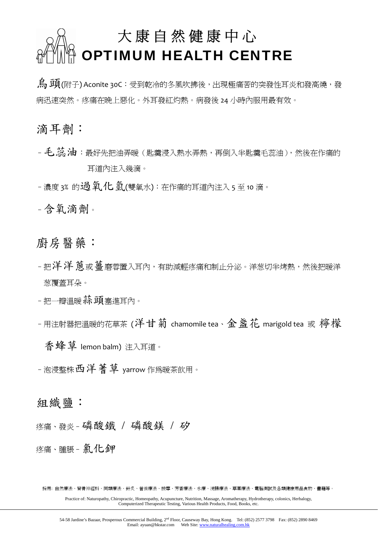## 大康自然健康中心 OPTIMUM HEALTH CENTRE

烏頭(附子) Aconite 30C:受到乾冷的冬風吹拂後,出現極痛苦的突發性耳炎和發高燒,發 病迅速突然。疼痛在晚上惡化。外耳發紅灼熱。病發後 24 小時內服用最有效。

滴耳劑:

- 毛. 蕊 油: 最好先把油弄暖(匙羹浸入熱水弄熱,再倒入半匙羹毛蕊油),然後在作痛的 耳道內注入幾滴。

- 濃度 3% 的過氧化氫(雙氧水): 在作痛的耳道內注入 5 至 10 滴。

–含氧滴劑。

廚房醫藥:

- 把洋洋 蔥或薑磨蓉置入耳內,有助減輕疼痛和制止分泌。洋葱切半烤熱,然後把暖洋 葱覆蓋耳朵。
- 把一瓣溫暖养頭塞進耳內。
- 用注射器把溫暖的花草茶 (洋甘菊 chamomile tea、金 盞 花 marigold tea 或 檸檬

香蜂草 lemon balm) 注入耳道。

– 泡浸整株 西洋 著草 yarrow 作為暖茶飲用。

組織鹽:

疼痛、發炎–磷酸鐵 / 磷酸鎂 / 矽

疼痛、腫脹–氯化鉀

採用: 自然療法、脊骨神經科、同類療法、針炙、營養療法、按摩、芳香療法、水療、浣腸療法、草藥療法、電腦測試及各類健康用品食物、書籍等。

Practice of: Naturopathy, Chiropractic, Homeopathy, Acupuncture, Nutrition, Massage, Aromatherapy, Hydrotherapy, colonics, Herbalogy, Computerized Therapeutic Testing, Various Health Products, Food, Books, etc.